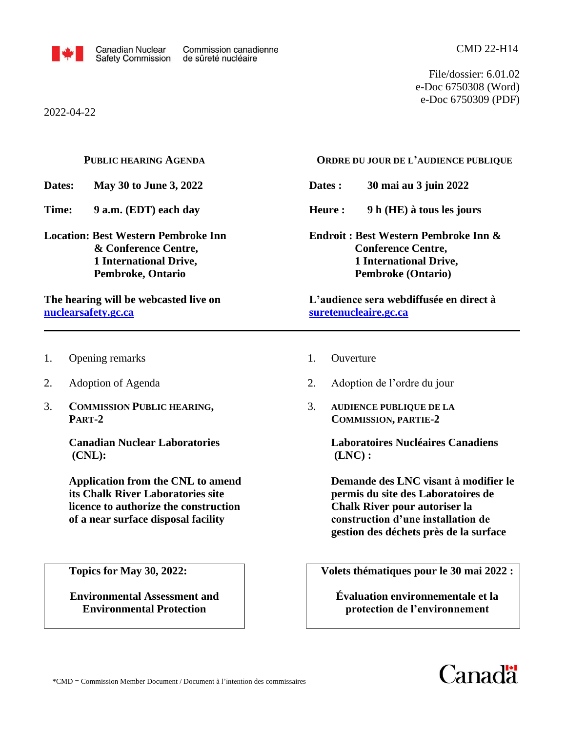

File/dossier: 6.01.02 e-Doc 6750308 (Word) e-Doc 6750309 (PDF)

2022-04-22

|                                                                                                                                                                                          | <b>PUBLIC HEARING AGENDA</b>                                                                                                                                  | ORDRE DU JOUR DE L'AUDIENCE PUBLIQUE                                                                                                                                                               |  |
|------------------------------------------------------------------------------------------------------------------------------------------------------------------------------------------|---------------------------------------------------------------------------------------------------------------------------------------------------------------|----------------------------------------------------------------------------------------------------------------------------------------------------------------------------------------------------|--|
| Dates:                                                                                                                                                                                   | May 30 to June 3, 2022                                                                                                                                        | Dates:<br>30 mai au 3 juin 2022                                                                                                                                                                    |  |
| Time:                                                                                                                                                                                    | 9 a.m. (EDT) each day                                                                                                                                         | Heure:<br>9 h (HE) à tous les jours                                                                                                                                                                |  |
| <b>Location: Best Western Pembroke Inn</b><br>& Conference Centre,<br><b>1 International Drive,</b><br>Pembroke, Ontario<br>The hearing will be webcasted live on<br>nuclearsafety.gc.ca |                                                                                                                                                               | Endroit: Best Western Pembroke Inn &<br><b>Conference Centre,</b><br><b>1 International Drive,</b><br><b>Pembroke (Ontario)</b><br>L'audience sera webdiffusée en direct à                         |  |
|                                                                                                                                                                                          |                                                                                                                                                               | suretenucleaire.gc.ca                                                                                                                                                                              |  |
| 1.                                                                                                                                                                                       | Opening remarks                                                                                                                                               | 1.<br>Ouverture                                                                                                                                                                                    |  |
| 2.                                                                                                                                                                                       | Adoption of Agenda                                                                                                                                            | 2.<br>Adoption de l'ordre du jour                                                                                                                                                                  |  |
| 3.                                                                                                                                                                                       | <b>COMMISSION PUBLIC HEARING,</b><br>PART-2                                                                                                                   | 3.<br><b>AUDIENCE PUBLIQUE DE LA</b><br><b>COMMISSION, PARTIE-2</b>                                                                                                                                |  |
|                                                                                                                                                                                          | <b>Canadian Nuclear Laboratories</b><br>$(CNL)$ :                                                                                                             | <b>Laboratoires Nucléaires Canadiens</b><br>(LNC):                                                                                                                                                 |  |
|                                                                                                                                                                                          | <b>Application from the CNL to amend</b><br>its Chalk River Laboratories site<br>licence to authorize the construction<br>of a near surface disposal facility | Demande des LNC visant à modifier le<br>permis du site des Laboratoires de<br><b>Chalk River pour autoriser la</b><br>construction d'une installation de<br>gestion des déchets près de la surface |  |
|                                                                                                                                                                                          | <b>Topics for May 30, 2022:</b>                                                                                                                               | Volets thématiques pour le 30 mai 2022 :                                                                                                                                                           |  |
|                                                                                                                                                                                          | <b>Environmental Assessment and</b><br><b>Environmental Protection</b>                                                                                        | Évaluation environnementale et la<br>protection de l'environnement                                                                                                                                 |  |

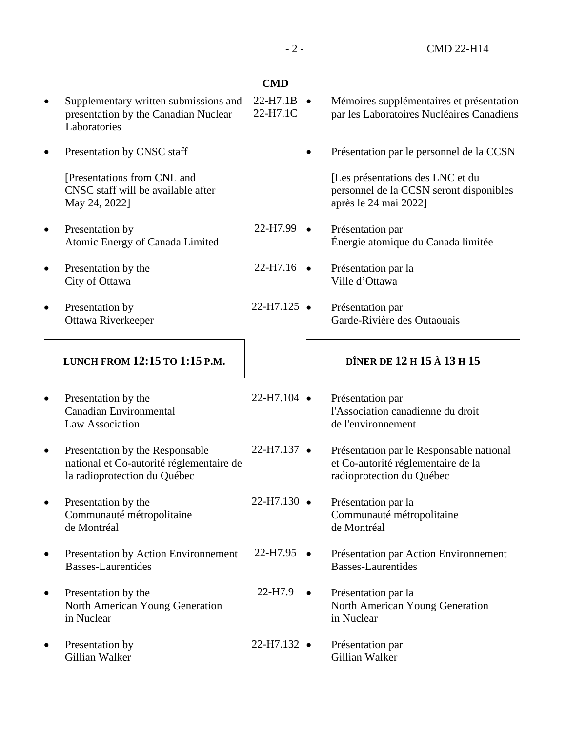# 22-H7.99  $22-H7.16$   $\bullet$  $22-H7.125$   $\bullet$  $22-H7.104$   $\bullet$  $22-H7.137$   $\bullet$  $22-H7.130$   $\bullet$ 22-H7.95  $22-H7.9$   $\bullet$ 22-H7.132 · • Présentation par le personnel de la CCSN [Les présentations des LNC et du personnel de la CCSN seront disponibles après le 24 mai 2022] • Présentation par Énergie atomique du Canada limitée • Présentation par la Ville d'Ottawa • Présentation par Garde-Rivière des Outaouais • Présentation par de l'environnement radioprotection du Québec Présentation par la Communauté métropolitaine de Montréal Basses-Laurentides • Présentation par la in Nuclear • Présentation par Gillian Walker

- **CMD**
- Supplementary written submissions and presentation by the Canadian Nuclear Laboratories  $22-H7.1B$   $\bullet$ 22-H7.1C • Mémoires supplémentaires et présentation par les Laboratoires Nucléaires Canadiens
- Presentation by CNSC staff

[Presentations from CNL and CNSC staff will be available after May 24, 2022]

- Presentation by Atomic Energy of Canada Limited
- Presentation by the City of Ottawa
- Presentation by Ottawa Riverkeeper

# **LUNCH FROM 12:15 TO 1:15 P.M.**

- Presentation by the Canadian Environmental Law Association
- Presentation by the Responsable national et Co-autorité réglementaire de la radioprotection du Québec
- Presentation by the Communauté métropolitaine de Montréal
- Presentation by Action Environnement Basses-Laurentides
- Presentation by the North American Young Generation in Nuclear
- Presentation by Gillian Walker

# **DÎNER DE 12 H 15 À 13 H 15**

- l'Association canadienne du droit
- Présentation par le Responsable national et Co-autorité réglementaire de la
	- Présentation par Action Environnement
	- North American Young Generation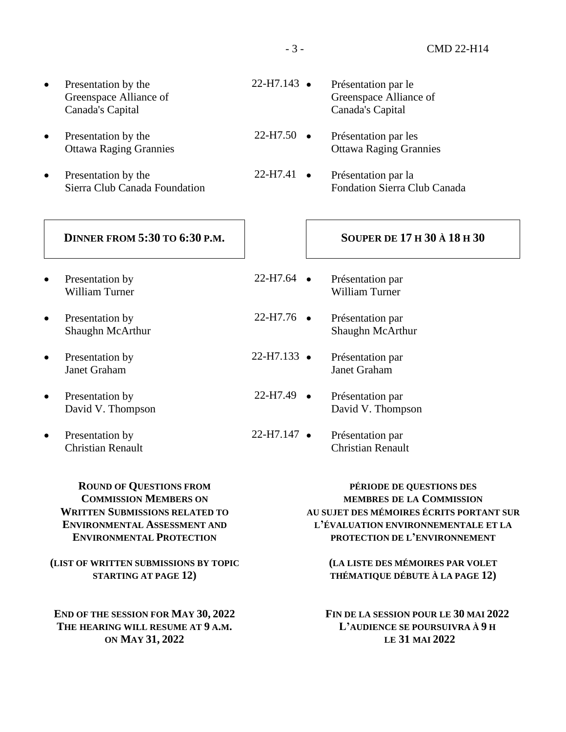- Presentation by the Greenspace Alliance of Canada's Capital
- Presentation by the Ottawa Raging Grannies
- Presentation by the Sierra Club Canada Foundation

#### **DINNER FROM 5:30 TO 6:30 P.M.**

- Presentation by William Turner
- Presentation by Shaughn McArthur
- Presentation by Janet Graham
- Presentation by David V. Thompson
- Presentation by Christian Renault

**ROUND OF QUESTIONS FROM COMMISSION MEMBERS ON WRITTEN SUBMISSIONS RELATED TO ENVIRONMENTAL ASSESSMENT AND ENVIRONMENTAL PROTECTION**

**(LIST OF WRITTEN SUBMISSIONS BY TOPIC STARTING AT PAGE 12)**

**END OF THE SESSION FOR MAY 30, 2022 THE HEARING WILL RESUME AT 9 A.M. ON MAY 31, 2022**

- $22-H7.50$   $\bullet$ • Présentation par les Ottawa Raging Grannies
- $22-H7.41$   $\bullet$ • Présentation par la Fondation Sierra Club Canada

#### **SOUPER DE 17 H 30 À 18 H 30**

- $22-H7.64$   $\bullet$ • Présentation par William Turner
- $22-H7.76$   $\bullet$ Présentation par Shaughn McArthur
- $22-H7.133$   $\bullet$ • Présentation par Janet Graham
- $22-H7.49$   $\bullet$ • Présentation par David V. Thompson
- 22-H7.147 • Présentation par Christian Renault

**PÉRIODE DE QUESTIONS DES MEMBRES DE LA COMMISSION AU SUJET DES MÉMOIRES ÉCRITS PORTANT SUR L'ÉVALUATION ENVIRONNEMENTALE ET LA PROTECTION DE L'ENVIRONNEMENT**

> **(LA LISTE DES MÉMOIRES PAR VOLET THÉMATIQUE DÉBUTE À LA PAGE 12)**

**FIN DE LA SESSION POUR LE 30 MAI 2022 L'AUDIENCE SE POURSUIVRA À 9 H LE 31 MAI 2022**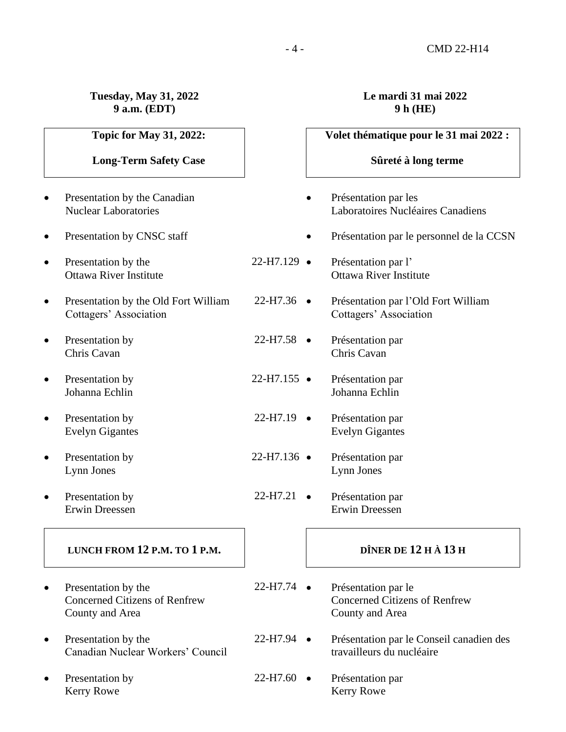#### **Tuesday, May 31, 2022 9 a.m. (EDT)**

**Topic for May 31, 2022:**

# **Long-Term Safety Case**

- Presentation by the Canadian Nuclear Laboratories
- Presentation by CNSC staff
- Presentation by the Ottawa River Institute
- Presentation by the Old Fort William Cottagers' Association
- Presentation by Chris Cavan
- Presentation by Johanna Echlin
- Presentation by Evelyn Gigantes
- Presentation by Lynn Jones
- Presentation by Erwin Dreessen

#### **LUNCH FROM 12 P.M. TO 1 P.M.**

- Presentation by the Concerned Citizens of Renfrew County and Area
- Presentation by the Canadian Nuclear Workers' Council
- Presentation by Kerry Rowe

# **Le mardi 31 mai 2022 9 h (HE)**

# $22-H7.129$   $\bullet$  $22-H7.36$   $\bullet$  $22-H7.58$   $\bullet$  $22-H7.155$   $\bullet$  $22-H7.19$   $\bullet$  $22-H7.136$   $\bullet$  $22-H7.21$   $\bullet$ 22-H7.74 • **Volet thématique pour le 31 mai 2022 : Sûreté à long terme** • Présentation par les Laboratoires Nucléaires Canadiens • Présentation par le personnel de la CCSN Présentation par l' Ottawa River Institute • Présentation par l'Old Fort William Cottagers' Association • Présentation par Chris Cavan • Présentation par Johanna Echlin • Présentation par Evelyn Gigantes • Présentation par Lynn Jones • Présentation par Erwin Dreessen **DÎNER DE 12 H À 13 H** • Présentation par le Concerned Citizens of Renfrew County and Area

- 22-H7.94 • Présentation par le Conseil canadien des travailleurs du nucléaire
- $22-H7.60$   $\bullet$ • Présentation par Kerry Rowe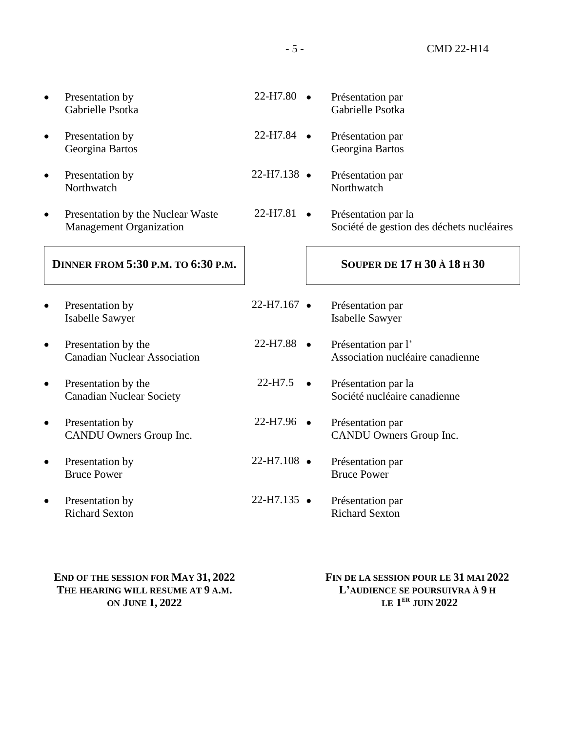|           | Presentation by<br>Gabrielle Psotka                                 | 22-H7.80              | Présentation par<br>Gabrielle Psotka                             |
|-----------|---------------------------------------------------------------------|-----------------------|------------------------------------------------------------------|
|           | Presentation by<br>Georgina Bartos                                  | 22-H7.84              | Présentation par<br>Georgina Bartos                              |
|           | Presentation by<br>Northwatch                                       | $22-H7.138$ $\bullet$ | Présentation par<br>Northwatch                                   |
|           | Presentation by the Nuclear Waste<br><b>Management Organization</b> | 22-H7.81              | Présentation par la<br>Société de gestion des déchets nucléaires |
|           | <b>DINNER FROM 5:30 P.M. TO 6:30 P.M.</b>                           |                       | <b>SOUPER DE 17 H 30 À 18 H 30</b>                               |
|           | Presentation by<br>Isabelle Sawyer                                  | 22-H7.167 ·           | Présentation par<br><b>Isabelle Sawyer</b>                       |
|           | Presentation by the<br><b>Canadian Nuclear Association</b>          | $22-H7.88$ $\bullet$  | Présentation par l'<br>Association nucléaire canadienne          |
|           | Presentation by the<br><b>Canadian Nuclear Society</b>              | 22-H7.5               | Présentation par la<br>Société nucléaire canadienne              |
| $\bullet$ | Presentation by<br>CANDU Owners Group Inc.                          | $22-H7.96$ $\bullet$  | Présentation par<br>CANDU Owners Group Inc.                      |
|           | Presentation by<br><b>Bruce Power</b>                               | $22-H7.108$ $\bullet$ | Présentation par<br><b>Bruce Power</b>                           |
|           | Presentation by<br><b>Richard Sexton</b>                            | $22-H7.135$ $\bullet$ | Présentation par<br><b>Richard Sexton</b>                        |
|           |                                                                     |                       |                                                                  |

**END OF THE SESSION FOR MAY 31, 2022 THE HEARING WILL RESUME AT 9 A.M. ON JUNE 1, 2022**

**FIN DE LA SESSION POUR LE 31 MAI 2022 L'AUDIENCE SE POURSUIVRA À 9 H LE 1 ER JUIN 2022**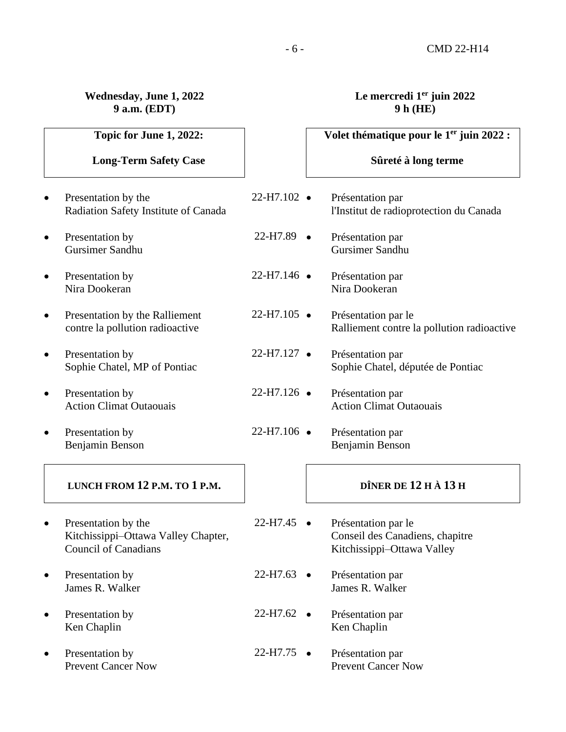## **Wednesday, June 1, 2022 9 a.m. (EDT)**

# **Le mercredi 1er juin 2022 9 h (HE)**

|           | Topic for June 1, 2022:                                                                   |                       |           | Volet thématique pour le 1 <sup>er</sup> juin 2022 :                                 |
|-----------|-------------------------------------------------------------------------------------------|-----------------------|-----------|--------------------------------------------------------------------------------------|
|           | <b>Long-Term Safety Case</b>                                                              |                       |           | Sûreté à long terme                                                                  |
| $\bullet$ | Presentation by the<br>Radiation Safety Institute of Canada                               | $22-H7.102$ $\bullet$ |           | Présentation par<br>l'Institut de radioprotection du Canada                          |
| $\bullet$ | Presentation by<br>Gursimer Sandhu                                                        | 22-H7.89              | $\bullet$ | Présentation par<br>Gursimer Sandhu                                                  |
| $\bullet$ | Presentation by<br>Nira Dookeran                                                          | 22-H7.146 ·           |           | Présentation par<br>Nira Dookeran                                                    |
| $\bullet$ | Presentation by the Ralliement<br>contre la pollution radioactive                         | $22-H7.105$ $\bullet$ |           | Présentation par le<br>Ralliement contre la pollution radioactive                    |
| $\bullet$ | Presentation by<br>Sophie Chatel, MP of Pontiac                                           | $22-H7.127$ $\bullet$ |           | Présentation par<br>Sophie Chatel, députée de Pontiac                                |
| $\bullet$ | Presentation by<br><b>Action Climat Outaouais</b>                                         | 22-H7.126 ·           |           | Présentation par<br><b>Action Climat Outaouais</b>                                   |
| $\bullet$ | Presentation by<br>Benjamin Benson                                                        | 22-H7.106 ·           |           | Présentation par<br>Benjamin Benson                                                  |
|           | LUNCH FROM 12 P.M. TO 1 P.M.                                                              |                       |           | DÎNER DE 12 H À 13 H                                                                 |
| $\bullet$ | Presentation by the<br>Kitchissippi-Ottawa Valley Chapter,<br><b>Council of Canadians</b> | 22-H7.45              |           | Présentation par le<br>Conseil des Canadiens, chapitre<br>Kitchissippi-Ottawa Valley |
| $\bullet$ | Presentation by<br>James R. Walker                                                        | 22-H7.63              | $\bullet$ | Présentation par<br>James R. Walker                                                  |
|           | Presentation by<br>Ken Chaplin                                                            | $22-H7.62$ •          |           | Présentation par<br>Ken Chaplin                                                      |
|           | Presentation by<br><b>Prevent Cancer Now</b>                                              | 22-H7.75              | $\bullet$ | Présentation par<br><b>Prevent Cancer Now</b>                                        |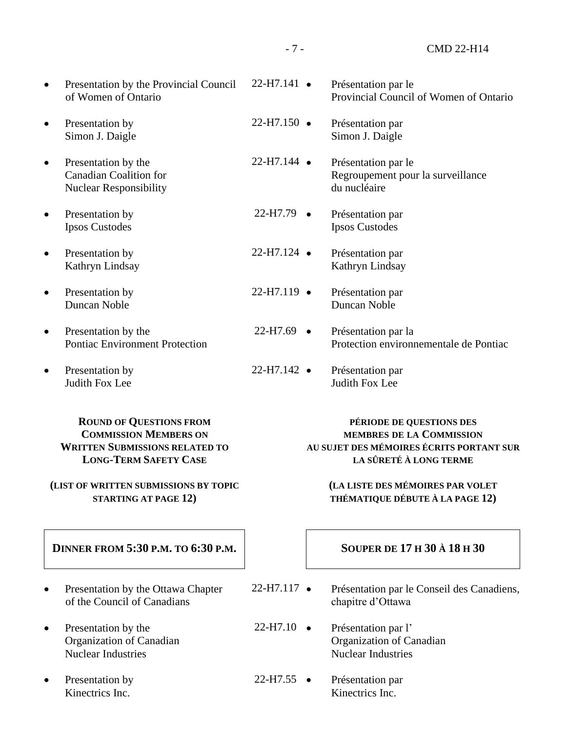| <b>ROUND OF QUESTIONS FROM</b>                                                 |                       | PÉRIODE DE QUESTIONS DES                                                 |
|--------------------------------------------------------------------------------|-----------------------|--------------------------------------------------------------------------|
| Presentation by<br><b>Judith Fox Lee</b>                                       | $22-H7.142$ $\bullet$ | Présentation par<br>Judith Fox Lee                                       |
| Presentation by the<br><b>Pontiac Environment Protection</b>                   | $22-H7.69$ $\bullet$  | Présentation par la<br>Protection environnementale de Pontiac            |
| Presentation by<br>Duncan Noble                                                | $22-H7.119$ $\bullet$ | Présentation par<br>Duncan Noble                                         |
| Presentation by<br>Kathryn Lindsay                                             | $22-H7.124$ $\bullet$ | Présentation par<br>Kathryn Lindsay                                      |
| Presentation by<br><b>Ipsos Custodes</b>                                       | $22-H7.79$ $\bullet$  | Présentation par<br><b>Ipsos Custodes</b>                                |
| Presentation by the<br><b>Canadian Coalition for</b><br>Nuclear Responsibility | $22-H7.144$ $\bullet$ | Présentation par le<br>Regroupement pour la surveillance<br>du nucléaire |
| Presentation by<br>Simon J. Daigle                                             | $22-H7.150$ $\bullet$ | Présentation par<br>Simon J. Daigle                                      |
| Presentation by the Provincial Council<br>of Women of Ontario                  | $22-H7.141$ $\bullet$ | Présentation par le<br>Provincial Council of Women of Ontario            |

# **COMMISSION MEMBERS ON WRITTEN SUBMISSIONS RELATED TO LONG-TERM SAFETY CASE**

# **(LIST OF WRITTEN SUBMISSIONS BY TOPIC STARTING AT PAGE 12)**

# **MEMBRES DE LA COMMISSION AU SUJET DES MÉMOIRES ÉCRITS PORTANT SUR LA SÛRETÉ À LONG TERME**

# **(LA LISTE DES MÉMOIRES PAR VOLET THÉMATIQUE DÉBUTE À LA PAGE 12)**

| <b>DINNER FROM 5:30 P.M. TO 6:30 P.M.</b>                                      |                      | <b>SOUPER DE 17 H 30 À 18 H 30</b>                                           |
|--------------------------------------------------------------------------------|----------------------|------------------------------------------------------------------------------|
| Presentation by the Ottawa Chapter<br>$\bullet$<br>of the Council of Canadians | $22-H7.117 \bullet$  | Présentation par le Conseil des Canadiens,<br>chapitre d'Ottawa              |
| Presentation by the<br>Organization of Canadian<br><b>Nuclear Industries</b>   | $22-H7.10$ $\bullet$ | Présentation par l'<br>Organization of Canadian<br><b>Nuclear Industries</b> |
| Presentation by<br>Kinectrics Inc.                                             | $22-H7.55$ $\bullet$ | Présentation par<br>Kinectrics Inc.                                          |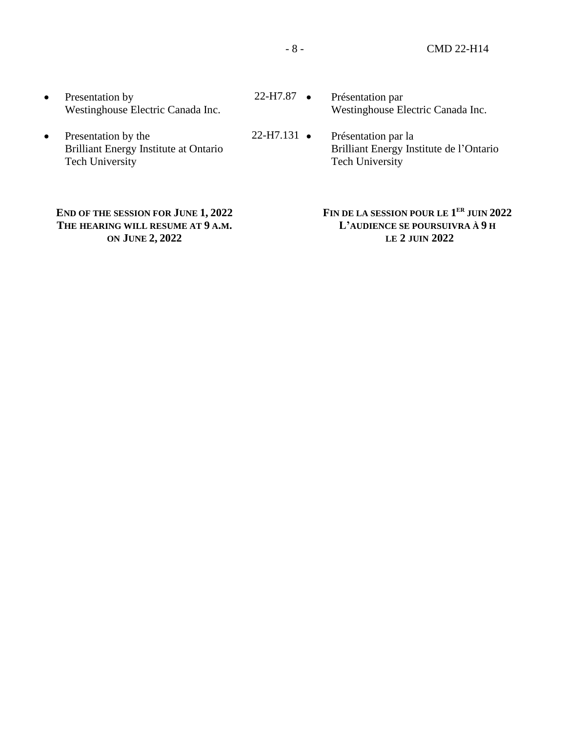- Presentation by Westinghouse Electric Canada Inc.
- Presentation by the Brilliant Energy Institute at Ontario Tech University

# **END OF THE SESSION FOR JUNE 1, 2022 THE HEARING WILL RESUME AT 9 A.M. ON JUNE 2, 2022**

- 22-H7.87 • Présentation par Westinghouse Electric Canada Inc.
- $22-H7.131$   $\bullet$ • Présentation par la Brilliant Energy Institute de l'Ontario Tech University

#### **FIN DE LA SESSION POUR LE 1 ER JUIN 2022 L'AUDIENCE SE POURSUIVRA À 9 H LE 2 JUIN 2022**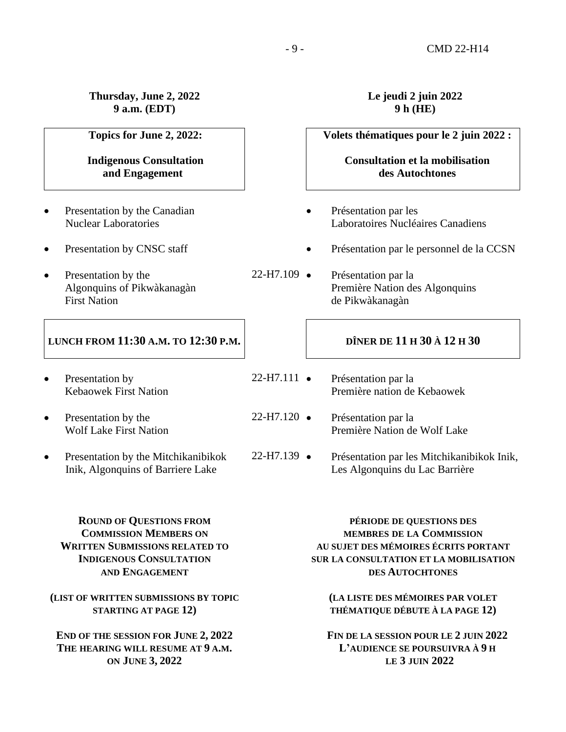**Thursday, June 2, 2022 9 a.m. (EDT)**

**Topics for June 2, 2022:**

**Indigenous Consultation and Engagement** 

- Presentation by the Canadian Nuclear Laboratories
- Presentation by CNSC staff
- Presentation by the Algonquins of Pikwàkanagàn First Nation

# **LUNCH FROM 11:30 A.M. TO 12:30 P.M.**

- Presentation by Kebaowek First Nation
- Presentation by the Wolf Lake First Nation
- Presentation by the Mitchikanibikok Inik, Algonquins of Barriere Lake

# **Le jeudi 2 juin 2022 9 h (HE)**

**Consultation et la mobilisation des Autochtones**

**Volets thématiques pour le 2 juin 2022 :**

- Présentation par les Laboratoires Nucléaires Canadiens
- Présentation par le personnel de la CCSN
- 22-H7.109 • Présentation par la Première Nation des Algonquins de Pikwàkanagàn

# **DÎNER DE 11 H 30 À 12 H 30**

- $22-H7.111$   $\bullet$ • Présentation par la Première nation de Kebaowek
- $22-H7.120$   $\bullet$ • Présentation par la Première Nation de Wolf Lake
- $22-H7.139$   $\bullet$ • Présentation par les Mitchikanibikok Inik, Les Algonquins du Lac Barrière

**ROUND OF QUESTIONS FROM COMMISSION MEMBERS ON WRITTEN SUBMISSIONS RELATED TO INDIGENOUS CONSULTATION AND ENGAGEMENT**

#### **(LIST OF WRITTEN SUBMISSIONS BY TOPIC STARTING AT PAGE 12)**

**END OF THE SESSION FOR JUNE 2, 2022 THE HEARING WILL RESUME AT 9 A.M. ON JUNE 3, 2022**

**PÉRIODE DE QUESTIONS DES MEMBRES DE LA COMMISSION AU SUJET DES MÉMOIRES ÉCRITS PORTANT SUR LA CONSULTATION ET LA MOBILISATION DES AUTOCHTONES**

**(LA LISTE DES MÉMOIRES PAR VOLET THÉMATIQUE DÉBUTE À LA PAGE 12)**

**FIN DE LA SESSION POUR LE 2 JUIN 2022 L'AUDIENCE SE POURSUIVRA À 9 H LE 3 JUIN 2022**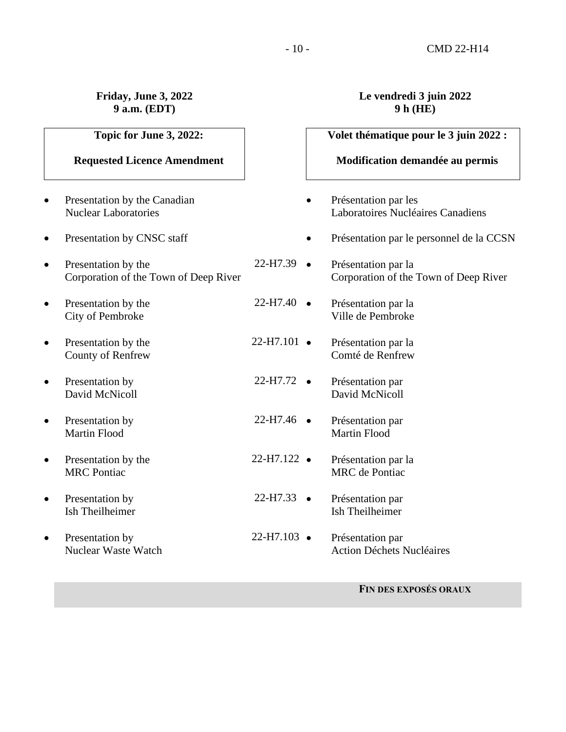# **Friday, June 3, 2022 9 a.m. (EDT)**

# **Topic for June 3, 2022:**

# **Requested Licence Amendment**

- Present Nucle
- $\bullet$  Presentation by Presentation by C<sub>NS</sub>c station by C<sub>NS</sub>c station by C<sub>NS</sub>c station by C<sub>NS</sub> station by C<sub>NS</sub> station by C<sub>NS</sub> station by C<sub>NS</sub> station by C<sub>NS</sub> station by C<sub>NS</sub> station by C<sub>NS</sub> station by C<sub>NS</sub> stati
- Present Corpo
- Present City of
- $\bullet$  Presentation by Presentation by the Beaumont by the Beaumont by the Beaumont Beaumont Beaumont Beaumont Beaumont Beaumont Beaumont Beaumont Beaumont Beaumont Beaumont Beaumont Beaumont Beaumont Beaumont Beaumont Beau Count
- $\bullet$  Present David
- $\bullet$  Present Martin
- Presen  $MRC$
- $\bullet$  Present Ish Tl
- $\bullet$  Present Nucle

# **Le vendredi 3 juin 2022 9 h (HE)**

| Topic for June 3, 2022:                             |                       | Volet thématique pour le 3 juin 2022 :                       |
|-----------------------------------------------------|-----------------------|--------------------------------------------------------------|
| quested Licence Amendment                           |                       | Modification demandée au permis                              |
| ntation by the Canadian<br>ear Laboratories         |                       | Présentation par les<br>Laboratoires Nucléaires Canadiens    |
| ntation by CNSC staff                               |                       | Présentation par le personnel de la CCSN                     |
| ntation by the<br>oration of the Town of Deep River | $22-H7.39$ $\bullet$  | Présentation par la<br>Corporation of the Town of Deep River |
| ntation by the<br>of Pembroke                       | $22-H7.40$ $\bullet$  | Présentation par la<br>Ville de Pembroke                     |
| ntation by the<br>ty of Renfrew                     | $22-H7.101$ $\bullet$ | Présentation par la<br>Comté de Renfrew                      |
| ntation by<br>d McNicoll                            | $22-H7.72$ $\bullet$  | Présentation par<br>David McNicoll                           |
| ntation by<br>n Flood                               | $22-H7.46$ $\bullet$  | Présentation par<br><b>Martin Flood</b>                      |
| ntation by the<br>Pontiac                           | $22-H7.122$ $\bullet$ | Présentation par la<br><b>MRC</b> de Pontiac                 |
| ntation by<br>heilheimer                            | $22-H7.33$ $\bullet$  | Présentation par<br><b>Ish Theilheimer</b>                   |
| ntation by<br>ear Waste Watch                       | $22-H7.103$ $\bullet$ | Présentation par<br><b>Action Déchets Nucléaires</b>         |
|                                                     |                       |                                                              |

**FIN DES EXPOSÉS ORAUX**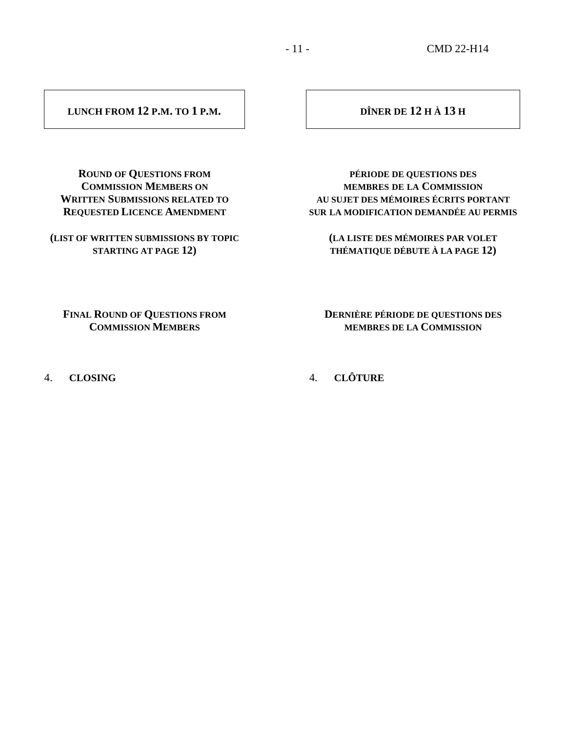#### **LUNCH FROM 12 P.M. TO 1 P.M.**

# **DÎNER DE 12 H À 13 H**

**ROUND OF QUESTIONS FROM COMMISSION MEMBERS ON WRITTEN SUBMISSIONS RELATED TO REQUESTED LICENCE AMENDMENT**

**(LIST OF WRITTEN SUBMISSIONS BY TOPIC STARTING AT PAGE 12)**

**PÉRIODE DE QUESTIONS DES MEMBRES DE LA COMMISSION AU SUJET DES MÉMOIRES ÉCRITS PORTANT SUR LA MODIFICATION DEMANDÉE AU PERMIS**

**(LA LISTE DES MÉMOIRES PAR VOLET THÉMATIQUE DÉBUTE À LA PAGE 12)**

**FINAL ROUND OF QUESTIONS FROM COMMISSION MEMBERS**

4. **CLOSING**

**DERNIÈRE PÉRIODE DE QUESTIONS DES MEMBRES DE LA COMMISSION**

4. **CLÔTURE**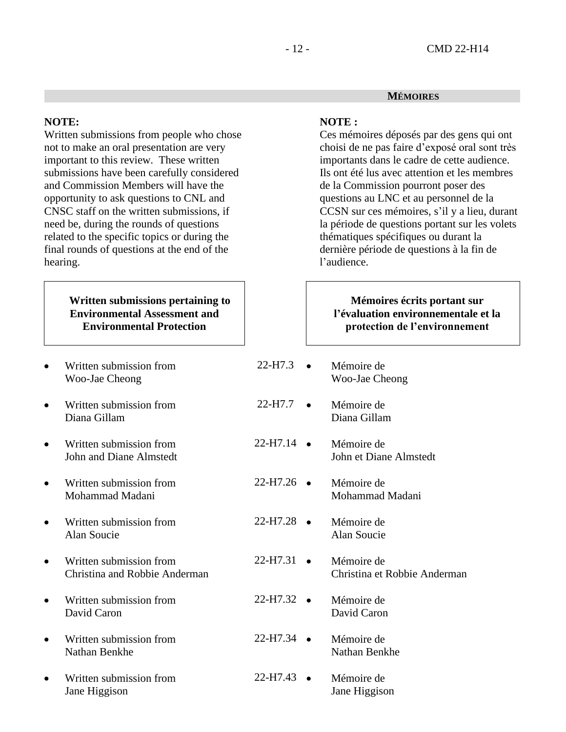#### **MÉMOIRES**

#### **NOTE:**

Written submissions from people who chose not to make an oral presentation are very important to this review. These written submissions have been carefully considered and Commission Members will have the opportunity to ask questions to CNL and CNSC staff on the written submissions, if need be, during the rounds of questions related to the specific topics or during the final rounds of questions at the end of the hearing.

# **Written submissions pertaining to Environmental Assessment and Environmental Protection**

- Written submission from Woo-Jae Cheong
- Written submission from Diana Gillam
- Written submission from John and Diane Almstedt
- Written submission from Mohammad Madani
- Written submission from Alan Soucie
- Written submission from Christina and Robbie Anderman
- Written submission from David Caron
- Written submission from Nathan Benkhe
- Written submission from Jane Higgison

#### **NOTE :**

Ces mémoires déposés par des gens qui ont choisi de ne pas faire d'exposé oral sont très importants dans le cadre de cette audience. Ils ont été lus avec attention et les membres de la Commission pourront poser des questions au LNC et au personnel de la CCSN sur ces mémoires, s'il y a lieu, durant la période de questions portant sur les volets thématiques spécifiques ou durant la dernière période de questions à la fin de l'audience.

## **Mémoires écrits portant sur l'évaluation environnementale et la protection de l'environnement**

 $22-H7.3$   $\bullet$  $22-H7.7$   $\bullet$  $22-H7.14$   $\bullet$  $22-H7.26$   $\bullet$  $22-H7.28$   $\bullet$  $22-H7.31$   $\bullet$  $22-H7.32$   $\bullet$  $22-H7.34$   $\bullet$  $22-H7.43$   $\bullet$ Mémoire de Woo-Jae Cheong • Mémoire de Diana Gillam Mémoire de John et Diane Almstedt Mémoire de Mohammad Madani • Mémoire de Alan Soucie • Mémoire de Christina et Robbie Anderman Mémoire de David Caron • Mémoire de Nathan Benkhe • Mémoire de Jane Higgison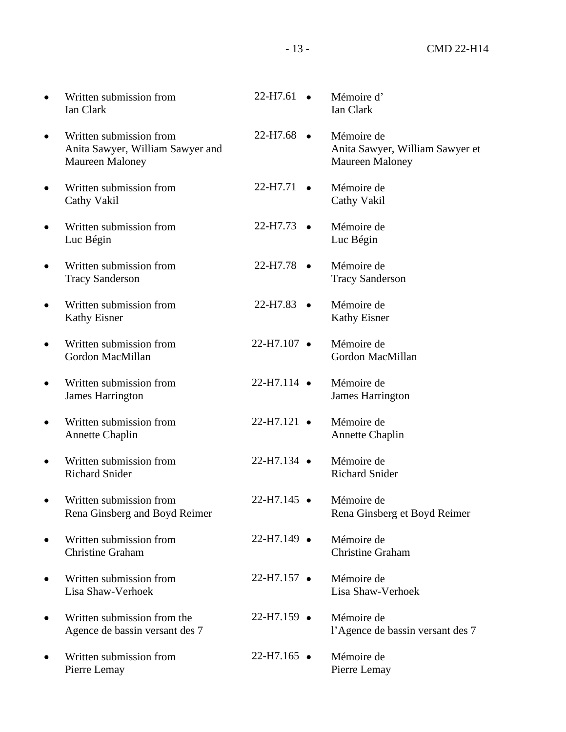| Written submission from<br><b>Ian Clark</b>                                           | 22-H7.61              | Mémoire d'<br>Ian Clark                                                 |
|---------------------------------------------------------------------------------------|-----------------------|-------------------------------------------------------------------------|
| Written submission from<br>Anita Sawyer, William Sawyer and<br><b>Maureen Maloney</b> | $22-H7.68$ $\bullet$  | Mémoire de<br>Anita Sawyer, William Sawyer et<br><b>Maureen Maloney</b> |
| Written submission from<br>Cathy Vakil                                                | 22-H7.71              | Mémoire de<br>Cathy Vakil                                               |
| Written submission from<br>Luc Bégin                                                  | $22-H7.73$ $\bullet$  | Mémoire de<br>Luc Bégin                                                 |
| Written submission from<br><b>Tracy Sanderson</b>                                     | 22-H7.78<br>$\bullet$ | Mémoire de<br><b>Tracy Sanderson</b>                                    |
| Written submission from<br><b>Kathy Eisner</b>                                        | $22-H7.83$ $\bullet$  | Mémoire de<br><b>Kathy Eisner</b>                                       |
| Written submission from<br>Gordon MacMillan                                           | 22-H7.107 ·           | Mémoire de<br>Gordon MacMillan                                          |
| Written submission from<br><b>James Harrington</b>                                    | $22-H7.114$ $\bullet$ | Mémoire de<br><b>James Harrington</b>                                   |
| Written submission from<br><b>Annette Chaplin</b>                                     | $22-H7.121$ $\bullet$ | Mémoire de<br><b>Annette Chaplin</b>                                    |
| Written submission from<br><b>Richard Snider</b>                                      | $22-H7.134$ $\bullet$ | Mémoire de<br><b>Richard Snider</b>                                     |
| Written submission from<br>Rena Ginsberg and Boyd Reimer                              | 22-H7.145 ·           | Mémoire de<br>Rena Ginsberg et Boyd Reimer                              |
| Written submission from<br><b>Christine Graham</b>                                    | $22-H7.149$ $\bullet$ | Mémoire de<br><b>Christine Graham</b>                                   |
| Written submission from<br>Lisa Shaw-Verhoek                                          | $22-H7.157$ $\bullet$ | Mémoire de<br>Lisa Shaw-Verhoek                                         |
| Written submission from the<br>Agence de bassin versant des 7                         | 22-H7.159 ·           | Mémoire de<br>l'Agence de bassin versant des 7                          |
| Written submission from<br>Pierre Lemay                                               | $22-H7.165$ $\bullet$ | Mémoire de<br>Pierre Lemay                                              |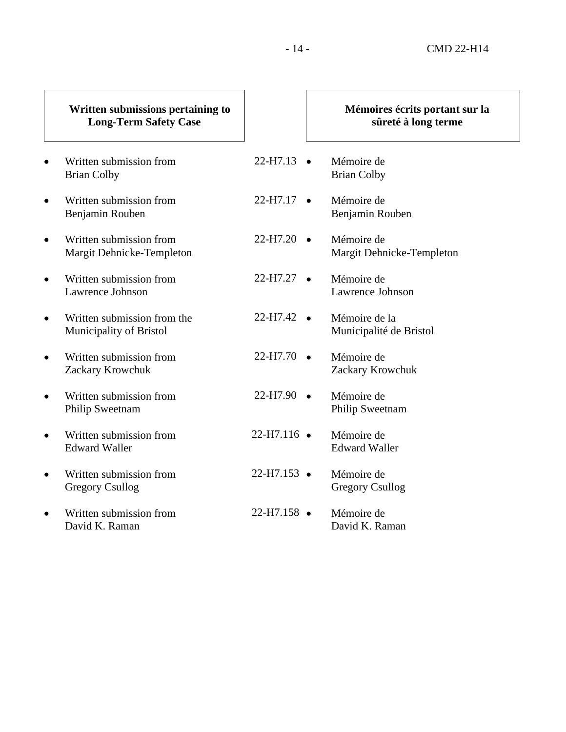#### **Written submissions pertaining to Long-Term Safety Case** Written submission from Brian Colby  $22-H7.13$   $\bullet$ • Written submission from Benjamin Rouben  $22-H7.17$   $\bullet$ • Written submission from Margit Dehnicke-Templeton  $22-H7.20$   $\bullet$ • Written submission from Lawrence Johnson  $22-H7.27$   $\bullet$ • Written submission from the Municipality of Bristol  $22-H7.42$   $\bullet$ • Written submission from Zackary Krowchuk  $22-H7.70$   $\bullet$ • Written submission from Philip Sweetnam  $22-H7.90$   $\bullet$ • Written submission from Edward Waller  $22-H7.116$   $\bullet$ • Written submission from Gregory Csullog  $22-H7.153$   $\bullet$ • Written submission from David K. Raman  $22-H7.158$   $\bullet$ **Mémoires écrits portant sur la sûreté à long terme** Mémoire de Brian Colby Mémoire de Benjamin Rouben • Mémoire de Margit Dehnicke-Templeton Mémoire de Lawrence Johnson Mémoire de la Municipalité de Bristol Mémoire de Zackary Krowchuk Mémoire de Philip Sweetnam Mémoire de Edward Waller Mémoire de Gregory Csullog Mémoire de David K. Raman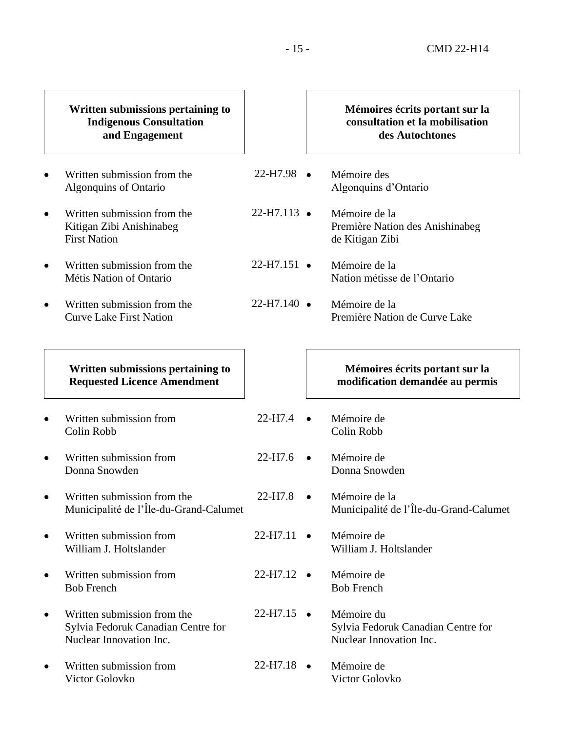- 15 - CMD 22-H14

|           | Written submissions pertaining to<br><b>Indigenous Consultation</b><br>and Engagement        |                       |           | Mémoires écrits portant sur la<br>consultation et la mobilisation<br>des Autochtones |
|-----------|----------------------------------------------------------------------------------------------|-----------------------|-----------|--------------------------------------------------------------------------------------|
|           | Written submission from the<br>Algonquins of Ontario                                         | $22-H7.98$ $\bullet$  |           | Mémoire des<br>Algonquins d'Ontario                                                  |
| $\bullet$ | Written submission from the<br>Kitigan Zibi Anishinabeg<br><b>First Nation</b>               | $22-H7.113$ $\bullet$ |           | Mémoire de la<br>Première Nation des Anishinabeg<br>de Kitigan Zibi                  |
| $\bullet$ | Written submission from the<br>Métis Nation of Ontario                                       | $22-H7.151$ $\bullet$ |           | Mémoire de la<br>Nation métisse de l'Ontario                                         |
| $\bullet$ | Written submission from the<br><b>Curve Lake First Nation</b>                                | $22-H7.140$ $\bullet$ |           | Mémoire de la<br>Première Nation de Curve Lake                                       |
|           | Written submissions pertaining to<br><b>Requested Licence Amendment</b>                      |                       |           | Mémoires écrits portant sur la<br>modification demandée au permis                    |
|           | Written submission from<br>Colin Robb                                                        | 22-H7.4               | $\bullet$ | Mémoire de<br>Colin Robb                                                             |
| $\bullet$ | Written submission from<br>Donna Snowden                                                     | 22-H7.6               | $\bullet$ | Mémoire de<br>Donna Snowden                                                          |
|           | Written submission from the<br>Municipalité de l'Île-du-Grand-Calumet                        | 22-H7.8               | $\bullet$ | Mémoire de la<br>Municipalité de l'Île-du-Grand-Calumet                              |
| ٠         | Written submission from<br>William J. Holtslander                                            | $22-H7.11$ $\bullet$  |           | Mémoire de<br>William J. Holtslander                                                 |
| ٠         | Written submission from<br><b>Bob French</b>                                                 | $22-H7.12$ $\bullet$  |           | Mémoire de<br><b>Bob French</b>                                                      |
| $\bullet$ | Written submission from the<br>Sylvia Fedoruk Canadian Centre for<br>Nuclear Innovation Inc. | 22-H7.15<br>$\bullet$ |           | Mémoire du<br>Sylvia Fedoruk Canadian Centre for<br>Nuclear Innovation Inc.          |
| ٠         | Written submission from<br>Victor Golovko                                                    | $22-H7.18$ $\bullet$  |           | Mémoire de<br>Victor Golovko                                                         |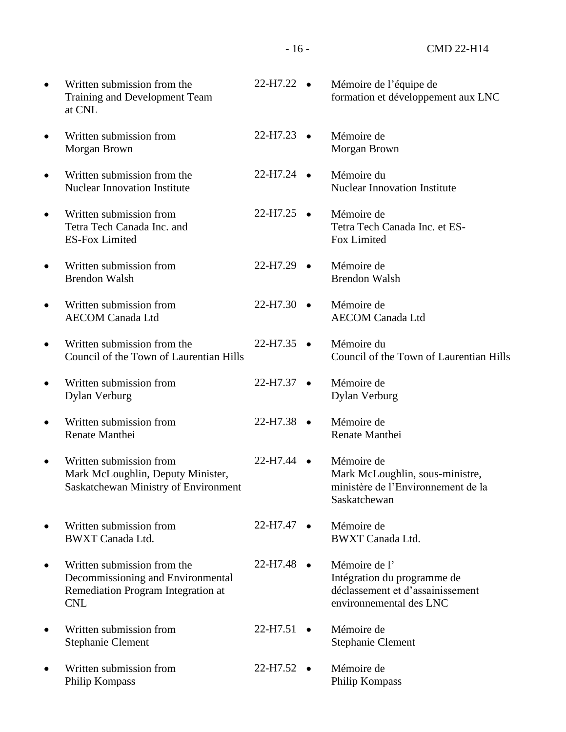- 16 - CMD 22-H14

• Written submission from the Training and Development Team at CNL  $22-H7.22$   $\bullet$ • Written submission from Morgan Brown  $22-H7.23$   $\bullet$ • Written submission from the Nuclear Innovation Institute  $22-H7.24$   $\bullet$ • Written submission from Tetra Tech Canada Inc. and ES-Fox Limited  $22-H7.25$   $\bullet$ • Written submission from Brendon Walsh  $22-H7.29$   $\bullet$ • Written submission from AECOM Canada Ltd  $22-H7.30$   $\bullet$ • Written submission from the Council of the Town of Laurentian Hills  $22-H7.35$   $\bullet$ • Written submission from Dylan Verburg  $22-H7.37$   $\bullet$ • Written submission from Renate Manthei 22-H7.38 • Written submission from Mark McLoughlin, Deputy Minister, Saskatchewan Ministry of Environment 22-H7.44 • Written submission from BWXT Canada Ltd.  $22-H7.47$   $\bullet$ • Written submission from the Decommissioning and Environmental Remediation Program Integration at CNL  $22-H7.48$   $\bullet$ • Written submission from Stephanie Clement  $22-H7.51$   $\bullet$ • Written submission from Philip Kompass  $22-H7.52$   $\bullet$ • Mémoire de l'équipe de formation et développement aux LNC Mémoire de Morgan Brown • Mémoire du Nuclear Innovation Institute • Mémoire de Tetra Tech Canada Inc. et ES-Fox Limited • Mémoire de Brendon Walsh Mémoire de AECOM Canada Ltd • Mémoire du Council of the Town of Laurentian Hills • Mémoire de Dylan Verburg Mémoire de Renate Manthei Mémoire de Mark McLoughlin, sous-ministre, ministère de l'Environnement de la Saskatchewan Mémoire de BWXT Canada Ltd. Mémoire de l' Intégration du programme de déclassement et d'assainissement environnemental des LNC Mémoire de Stephanie Clement • Mémoire de Philip Kompass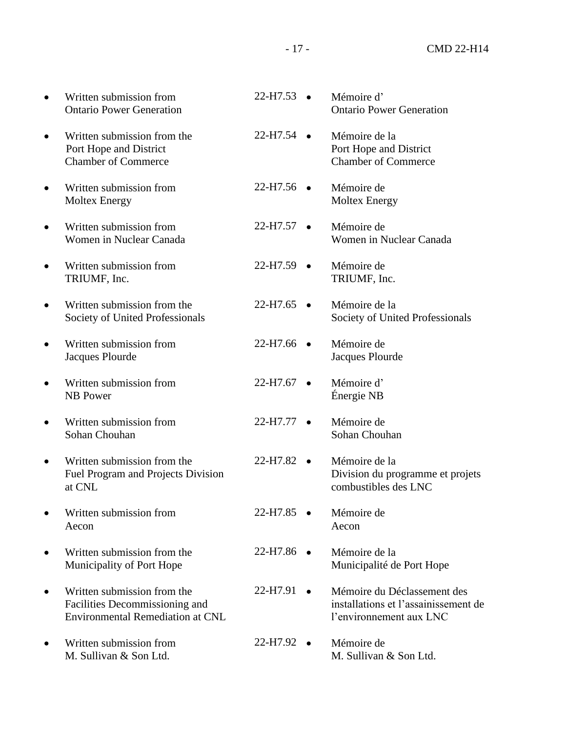| Written submission from<br><b>Ontario Power Generation</b>                                               | 22-H7.53              | Mémoire d'<br><b>Ontario Power Generation</b>                                                  |
|----------------------------------------------------------------------------------------------------------|-----------------------|------------------------------------------------------------------------------------------------|
| Written submission from the<br>Port Hope and District<br><b>Chamber of Commerce</b>                      | 22-H7.54<br>$\bullet$ | Mémoire de la<br>Port Hope and District<br><b>Chamber of Commerce</b>                          |
| Written submission from<br><b>Moltex Energy</b>                                                          | $22-H7.56$ $\bullet$  | Mémoire de<br><b>Moltex Energy</b>                                                             |
| Written submission from<br>Women in Nuclear Canada                                                       | $22-H7.57$ $\bullet$  | Mémoire de<br>Women in Nuclear Canada                                                          |
| Written submission from<br>TRIUMF, Inc.                                                                  | 22-H7.59<br>$\bullet$ | Mémoire de<br>TRIUMF, Inc.                                                                     |
| Written submission from the<br>Society of United Professionals                                           | $22-H7.65$ •          | Mémoire de la<br>Society of United Professionals                                               |
| Written submission from<br>Jacques Plourde                                                               | 22-H7.66<br>$\bullet$ | Mémoire de<br>Jacques Plourde                                                                  |
| Written submission from<br><b>NB</b> Power                                                               | $22-H7.67$ $\bullet$  | Mémoire d'<br>Énergie NB                                                                       |
| Written submission from<br>Sohan Chouhan                                                                 | $22-H7.77$ $\bullet$  | Mémoire de<br>Sohan Chouhan                                                                    |
| Written submission from the<br>Fuel Program and Projects Division<br>at CNL                              | $22-H7.82$ $\bullet$  | Mémoire de la<br>Division du programme et projets<br>combustibles des LNC                      |
| Written submission from<br>Aecon                                                                         | 22-H7.85              | Mémoire de<br>Aecon                                                                            |
| Written submission from the<br>Municipality of Port Hope                                                 | $22-H7.86$ $\bullet$  | Mémoire de la<br>Municipalité de Port Hope                                                     |
| Written submission from the<br>Facilities Decommissioning and<br><b>Environmental Remediation at CNL</b> | 22-H7.91              | Mémoire du Déclassement des<br>installations et l'assainissement de<br>l'environnement aux LNC |
| Written submission from<br>M. Sullivan & Son Ltd.                                                        | 22-H7.92<br>$\bullet$ | Mémoire de<br>M. Sullivan & Son Ltd.                                                           |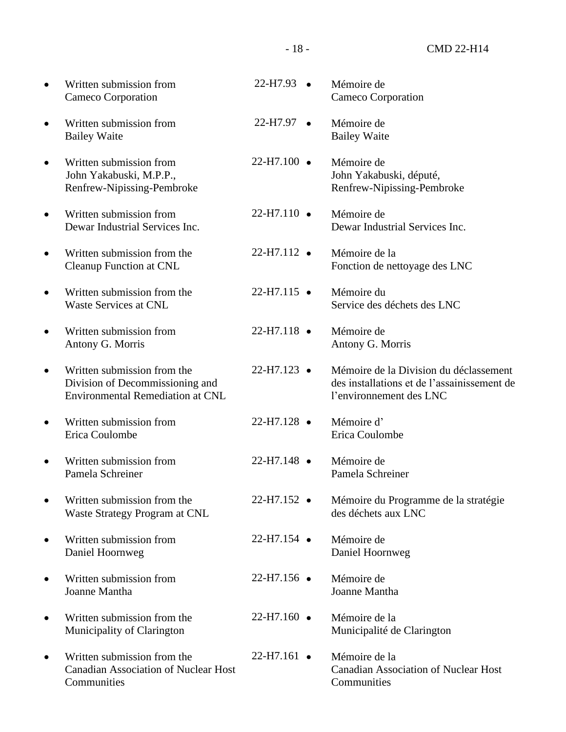|           | Written submission from<br>Cameco Corporation                                                             | 22-H7.93 ·            | Mémoire de<br>Cameco Corporation                                                                                 |
|-----------|-----------------------------------------------------------------------------------------------------------|-----------------------|------------------------------------------------------------------------------------------------------------------|
|           | Written submission from<br><b>Bailey Waite</b>                                                            | $22-H7.97$ $\bullet$  | Mémoire de<br><b>Bailey Waite</b>                                                                                |
| $\bullet$ | Written submission from<br>John Yakabuski, M.P.P.,<br>Renfrew-Nipissing-Pembroke                          | $22-H7.100$ $\bullet$ | Mémoire de<br>John Yakabuski, député,<br>Renfrew-Nipissing-Pembroke                                              |
|           | Written submission from<br>Dewar Industrial Services Inc.                                                 | $22-H7.110$ $\bullet$ | Mémoire de<br>Dewar Industrial Services Inc.                                                                     |
|           | Written submission from the<br><b>Cleanup Function at CNL</b>                                             | $22-H7.112$ $\bullet$ | Mémoire de la<br>Fonction de nettoyage des LNC                                                                   |
|           | Written submission from the<br><b>Waste Services at CNL</b>                                               | $22-H7.115$ $\bullet$ | Mémoire du<br>Service des déchets des LNC                                                                        |
|           | Written submission from<br>Antony G. Morris                                                               | $22-H7.118$ $\bullet$ | Mémoire de<br>Antony G. Morris                                                                                   |
|           | Written submission from the<br>Division of Decommissioning and<br><b>Environmental Remediation at CNL</b> | $22-H7.123$ $\bullet$ | Mémoire de la Division du déclassement<br>des installations et de l'assainissement de<br>l'environnement des LNC |
|           | Written submission from<br>Erica Coulombe                                                                 | $22-H7.128$ $\bullet$ | Mémoire d'<br>Erica Coulombe                                                                                     |
|           | Written submission from<br>Pamela Schreiner                                                               | 22-H7.148 ·           | Mémoire de<br>Pamela Schreiner                                                                                   |
|           | Written submission from the<br>Waste Strategy Program at CNL                                              | $22-H7.152$ $\bullet$ | Mémoire du Programme de la stratégie<br>des déchets aux LNC                                                      |
| $\bullet$ | Written submission from<br>Daniel Hoornweg                                                                | $22-H7.154$ $\bullet$ | Mémoire de<br>Daniel Hoornweg                                                                                    |
| $\bullet$ | Written submission from<br>Joanne Mantha                                                                  | $22-H7.156$ $\bullet$ | Mémoire de<br>Joanne Mantha                                                                                      |
| $\bullet$ | Written submission from the<br>Municipality of Clarington                                                 | $22-H7.160$ $\bullet$ | Mémoire de la<br>Municipalité de Clarington                                                                      |
| $\bullet$ | Written submission from the<br><b>Canadian Association of Nuclear Host</b><br>Communities                 | $22-H7.161$ $\bullet$ | Mémoire de la<br><b>Canadian Association of Nuclear Host</b><br>Communities                                      |